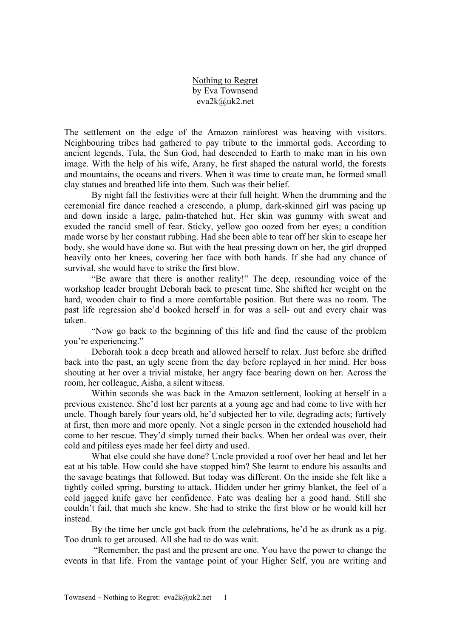Nothing to Regret by Eva Townsend eva2k@uk2.net

The settlement on the edge of the Amazon rainforest was heaving with visitors. Neighbouring tribes had gathered to pay tribute to the immortal gods. According to ancient legends, Tula, the Sun God, had descended to Earth to make man in his own image. With the help of his wife, Arany, he first shaped the natural world, the forests and mountains, the oceans and rivers. When it was time to create man, he formed small clay statues and breathed life into them. Such was their belief.

By night fall the festivities were at their full height. When the drumming and the ceremonial fire dance reached a crescendo, a plump, dark-skinned girl was pacing up and down inside a large, palm-thatched hut. Her skin was gummy with sweat and exuded the rancid smell of fear. Sticky, yellow goo oozed from her eyes; a condition made worse by her constant rubbing. Had she been able to tear off her skin to escape her body, she would have done so. But with the heat pressing down on her, the girl dropped heavily onto her knees, covering her face with both hands. If she had any chance of survival, she would have to strike the first blow.

"Be aware that there is another reality!" The deep, resounding voice of the workshop leader brought Deborah back to present time. She shifted her weight on the hard, wooden chair to find a more comfortable position. But there was no room. The past life regression she'd booked herself in for was a sell- out and every chair was taken.

"Now go back to the beginning of this life and find the cause of the problem you're experiencing."

Deborah took a deep breath and allowed herself to relax. Just before she drifted back into the past, an ugly scene from the day before replayed in her mind. Her boss shouting at her over a trivial mistake, her angry face bearing down on her. Across the room, her colleague, Aisha, a silent witness.

Within seconds she was back in the Amazon settlement, looking at herself in a previous existence. She'd lost her parents at a young age and had come to live with her uncle. Though barely four years old, he'd subjected her to vile, degrading acts; furtively at first, then more and more openly. Not a single person in the extended household had come to her rescue. They'd simply turned their backs. When her ordeal was over, their cold and pitiless eyes made her feel dirty and used.

What else could she have done? Uncle provided a roof over her head and let her eat at his table. How could she have stopped him? She learnt to endure his assaults and the savage beatings that followed. But today was different. On the inside she felt like a tightly coiled spring, bursting to attack. Hidden under her grimy blanket, the feel of a cold jagged knife gave her confidence. Fate was dealing her a good hand. Still she couldn't fail, that much she knew. She had to strike the first blow or he would kill her instead.

By the time her uncle got back from the celebrations, he'd be as drunk as a pig. Too drunk to get aroused. All she had to do was wait.

"Remember, the past and the present are one. You have the power to change the events in that life. From the vantage point of your Higher Self, you are writing and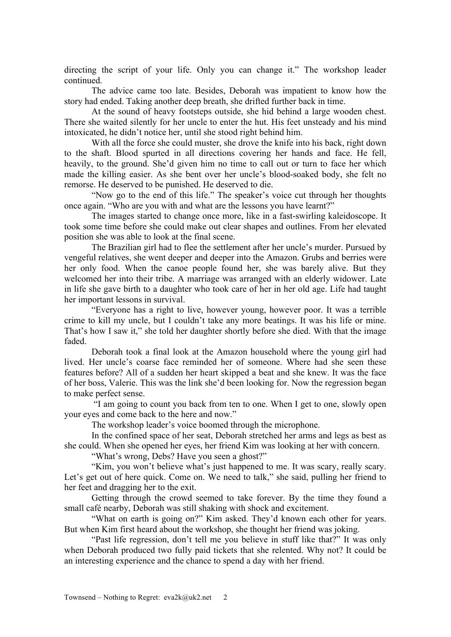directing the script of your life. Only you can change it." The workshop leader continued.

The advice came too late. Besides, Deborah was impatient to know how the story had ended. Taking another deep breath, she drifted further back in time.

At the sound of heavy footsteps outside, she hid behind a large wooden chest. There she waited silently for her uncle to enter the hut. His feet unsteady and his mind intoxicated, he didn't notice her, until she stood right behind him.

With all the force she could muster, she drove the knife into his back, right down to the shaft. Blood spurted in all directions covering her hands and face. He fell, heavily, to the ground. She'd given him no time to call out or turn to face her which made the killing easier. As she bent over her uncle's blood-soaked body, she felt no remorse. He deserved to be punished. He deserved to die.

"Now go to the end of this life." The speaker's voice cut through her thoughts once again. "Who are you with and what are the lessons you have learnt?"

The images started to change once more, like in a fast-swirling kaleidoscope. It took some time before she could make out clear shapes and outlines. From her elevated position she was able to look at the final scene.

The Brazilian girl had to flee the settlement after her uncle's murder. Pursued by vengeful relatives, she went deeper and deeper into the Amazon. Grubs and berries were her only food. When the canoe people found her, she was barely alive. But they welcomed her into their tribe. A marriage was arranged with an elderly widower. Late in life she gave birth to a daughter who took care of her in her old age. Life had taught her important lessons in survival.

"Everyone has a right to live, however young, however poor. It was a terrible crime to kill my uncle, but I couldn't take any more beatings. It was his life or mine. That's how I saw it," she told her daughter shortly before she died. With that the image faded.

Deborah took a final look at the Amazon household where the young girl had lived. Her uncle's coarse face reminded her of someone. Where had she seen these features before? All of a sudden her heart skipped a beat and she knew. It was the face of her boss, Valerie. This was the link she'd been looking for. Now the regression began to make perfect sense.

"I am going to count you back from ten to one. When I get to one, slowly open your eyes and come back to the here and now."

The workshop leader's voice boomed through the microphone.

In the confined space of her seat, Deborah stretched her arms and legs as best as she could. When she opened her eyes, her friend Kim was looking at her with concern.

"What's wrong, Debs? Have you seen a ghost?"

"Kim, you won't believe what's just happened to me. It was scary, really scary. Let's get out of here quick. Come on. We need to talk," she said, pulling her friend to her feet and dragging her to the exit.

Getting through the crowd seemed to take forever. By the time they found a small café nearby, Deborah was still shaking with shock and excitement.

"What on earth is going on?" Kim asked. They'd known each other for years. But when Kim first heard about the workshop, she thought her friend was joking.

"Past life regression, don't tell me you believe in stuff like that?" It was only when Deborah produced two fully paid tickets that she relented. Why not? It could be an interesting experience and the chance to spend a day with her friend.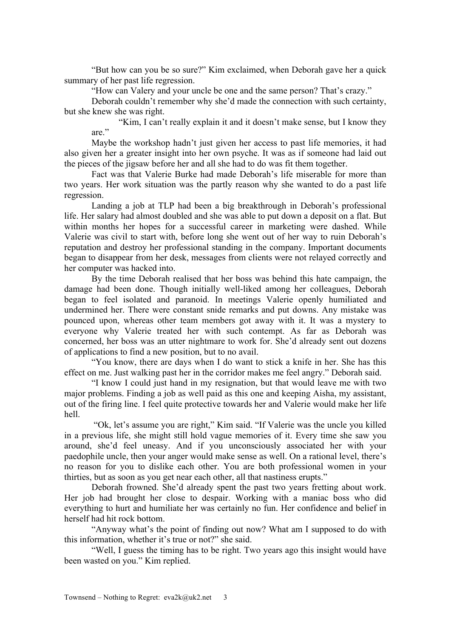"But how can you be so sure?" Kim exclaimed, when Deborah gave her a quick summary of her past life regression.

"How can Valery and your uncle be one and the same person? That's crazy."

Deborah couldn't remember why she'd made the connection with such certainty, but she knew she was right.

"Kim, I can't really explain it and it doesn't make sense, but I know they are."

Maybe the workshop hadn't just given her access to past life memories, it had also given her a greater insight into her own psyche. It was as if someone had laid out the pieces of the jigsaw before her and all she had to do was fit them together.

Fact was that Valerie Burke had made Deborah's life miserable for more than two years. Her work situation was the partly reason why she wanted to do a past life regression.

Landing a job at TLP had been a big breakthrough in Deborah's professional life. Her salary had almost doubled and she was able to put down a deposit on a flat. But within months her hopes for a successful career in marketing were dashed. While Valerie was civil to start with, before long she went out of her way to ruin Deborah's reputation and destroy her professional standing in the company. Important documents began to disappear from her desk, messages from clients were not relayed correctly and her computer was hacked into.

By the time Deborah realised that her boss was behind this hate campaign, the damage had been done. Though initially well-liked among her colleagues, Deborah began to feel isolated and paranoid. In meetings Valerie openly humiliated and undermined her. There were constant snide remarks and put downs. Any mistake was pounced upon, whereas other team members got away with it. It was a mystery to everyone why Valerie treated her with such contempt. As far as Deborah was concerned, her boss was an utter nightmare to work for. She'd already sent out dozens of applications to find a new position, but to no avail.

"You know, there are days when I do want to stick a knife in her. She has this effect on me. Just walking past her in the corridor makes me feel angry." Deborah said.

"I know I could just hand in my resignation, but that would leave me with two major problems. Finding a job as well paid as this one and keeping Aisha, my assistant, out of the firing line. I feel quite protective towards her and Valerie would make her life hell.

"Ok, let's assume you are right," Kim said. "If Valerie was the uncle you killed in a previous life, she might still hold vague memories of it. Every time she saw you around, she'd feel uneasy. And if you unconsciously associated her with your paedophile uncle, then your anger would make sense as well. On a rational level, there's no reason for you to dislike each other. You are both professional women in your thirties, but as soon as you get near each other, all that nastiness erupts."

Deborah frowned. She'd already spent the past two years fretting about work. Her job had brought her close to despair. Working with a maniac boss who did everything to hurt and humiliate her was certainly no fun. Her confidence and belief in herself had hit rock bottom.

"Anyway what's the point of finding out now? What am I supposed to do with this information, whether it's true or not?" she said.

"Well, I guess the timing has to be right. Two years ago this insight would have been wasted on you." Kim replied.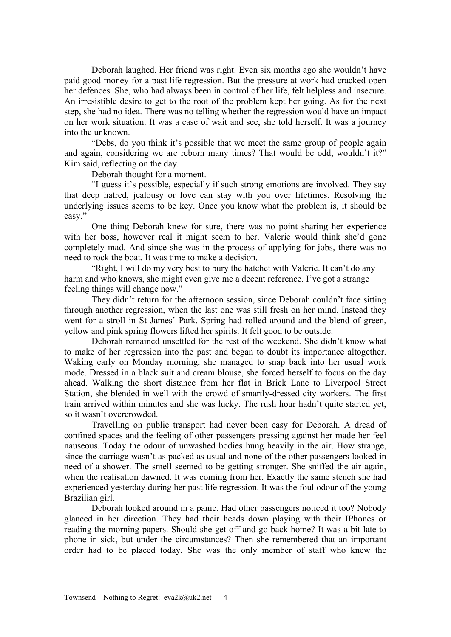Deborah laughed. Her friend was right. Even six months ago she wouldn't have paid good money for a past life regression. But the pressure at work had cracked open her defences. She, who had always been in control of her life, felt helpless and insecure. An irresistible desire to get to the root of the problem kept her going. As for the next step, she had no idea. There was no telling whether the regression would have an impact on her work situation. It was a case of wait and see, she told herself. It was a journey into the unknown.

"Debs, do you think it's possible that we meet the same group of people again and again, considering we are reborn many times? That would be odd, wouldn't it?" Kim said, reflecting on the day.

Deborah thought for a moment.

"I guess it's possible, especially if such strong emotions are involved. They say that deep hatred, jealousy or love can stay with you over lifetimes. Resolving the underlying issues seems to be key. Once you know what the problem is, it should be easy."

One thing Deborah knew for sure, there was no point sharing her experience with her boss, however real it might seem to her. Valerie would think she'd gone completely mad. And since she was in the process of applying for jobs, there was no need to rock the boat. It was time to make a decision.

"Right, I will do my very best to bury the hatchet with Valerie. It can't do any harm and who knows, she might even give me a decent reference. I've got a strange feeling things will change now."

They didn't return for the afternoon session, since Deborah couldn't face sitting through another regression, when the last one was still fresh on her mind. Instead they went for a stroll in St James' Park. Spring had rolled around and the blend of green, yellow and pink spring flowers lifted her spirits. It felt good to be outside.

Deborah remained unsettled for the rest of the weekend. She didn't know what to make of her regression into the past and began to doubt its importance altogether. Waking early on Monday morning, she managed to snap back into her usual work mode. Dressed in a black suit and cream blouse, she forced herself to focus on the day ahead. Walking the short distance from her flat in Brick Lane to Liverpool Street Station, she blended in well with the crowd of smartly-dressed city workers. The first train arrived within minutes and she was lucky. The rush hour hadn't quite started yet, so it wasn't overcrowded.

Travelling on public transport had never been easy for Deborah. A dread of confined spaces and the feeling of other passengers pressing against her made her feel nauseous. Today the odour of unwashed bodies hung heavily in the air. How strange, since the carriage wasn't as packed as usual and none of the other passengers looked in need of a shower. The smell seemed to be getting stronger. She sniffed the air again, when the realisation dawned. It was coming from her. Exactly the same stench she had experienced yesterday during her past life regression. It was the foul odour of the young Brazilian girl.

Deborah looked around in a panic. Had other passengers noticed it too? Nobody glanced in her direction. They had their heads down playing with their IPhones or reading the morning papers. Should she get off and go back home? It was a bit late to phone in sick, but under the circumstances? Then she remembered that an important order had to be placed today. She was the only member of staff who knew the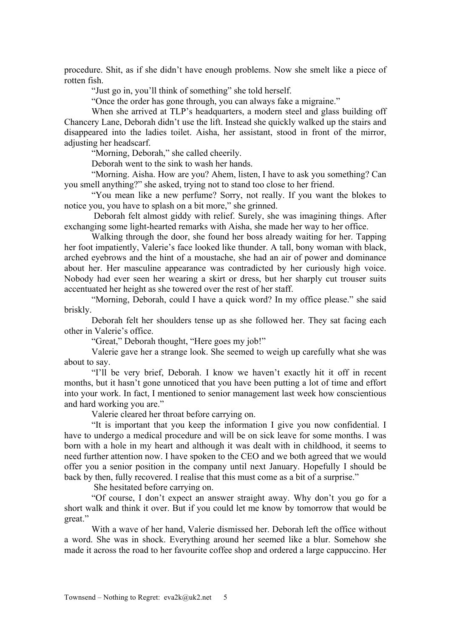procedure. Shit, as if she didn't have enough problems. Now she smelt like a piece of rotten fish.

"Just go in, you'll think of something" she told herself.

"Once the order has gone through, you can always fake a migraine."

When she arrived at TLP's headquarters, a modern steel and glass building off Chancery Lane, Deborah didn't use the lift. Instead she quickly walked up the stairs and disappeared into the ladies toilet. Aisha, her assistant, stood in front of the mirror, adjusting her headscarf.

"Morning, Deborah," she called cheerily.

Deborah went to the sink to wash her hands.

"Morning. Aisha. How are you? Ahem, listen, I have to ask you something? Can you smell anything?" she asked, trying not to stand too close to her friend.

"You mean like a new perfume? Sorry, not really. If you want the blokes to notice you, you have to splash on a bit more," she grinned.

Deborah felt almost giddy with relief. Surely, she was imagining things. After exchanging some light-hearted remarks with Aisha, she made her way to her office.

Walking through the door, she found her boss already waiting for her. Tapping her foot impatiently, Valerie's face looked like thunder. A tall, bony woman with black, arched eyebrows and the hint of a moustache, she had an air of power and dominance about her. Her masculine appearance was contradicted by her curiously high voice. Nobody had ever seen her wearing a skirt or dress, but her sharply cut trouser suits accentuated her height as she towered over the rest of her staff.

"Morning, Deborah, could I have a quick word? In my office please." she said briskly.

Deborah felt her shoulders tense up as she followed her. They sat facing each other in Valerie's office.

"Great," Deborah thought, "Here goes my job!"

Valerie gave her a strange look. She seemed to weigh up carefully what she was about to say.

"I'll be very brief, Deborah. I know we haven't exactly hit it off in recent months, but it hasn't gone unnoticed that you have been putting a lot of time and effort into your work. In fact, I mentioned to senior management last week how conscientious and hard working you are."

Valerie cleared her throat before carrying on.

"It is important that you keep the information I give you now confidential. I have to undergo a medical procedure and will be on sick leave for some months. I was born with a hole in my heart and although it was dealt with in childhood, it seems to need further attention now. I have spoken to the CEO and we both agreed that we would offer you a senior position in the company until next January. Hopefully I should be back by then, fully recovered. I realise that this must come as a bit of a surprise."

She hesitated before carrying on.

"Of course, I don't expect an answer straight away. Why don't you go for a short walk and think it over. But if you could let me know by tomorrow that would be great."

With a wave of her hand, Valerie dismissed her. Deborah left the office without a word. She was in shock. Everything around her seemed like a blur. Somehow she made it across the road to her favourite coffee shop and ordered a large cappuccino. Her